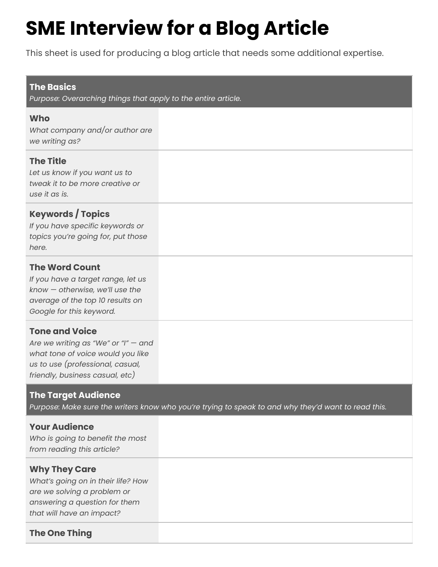# **SME Interview for a Blog Article**

This sheet is used for producing a blog article that needs some additional expertise.

#### **The Basics**

*Purpose: Overarching things that apply to the entire article.*

### **Who**

*What company and/or author are we writing as?*

# **The Title**

*Let us know if you want us to tweak it to be more creative or use it as is.*

# **Keywords / Topics**

*If you have specific keywords or topics you're going for, put those here.*

# **The Word Count**

*If you have a target range, let us know — otherwise, we'll use the average of the top 10 results on Google for this keyword.*

# **Tone and Voice**

*Are we writing as "We" or "I" — and what tone of voice would you like us to use (professional, casual, friendly, business casual, etc)*

# **The Target Audience**

Purpose: Make sure the writers know who you're trying to speak to and why they'd want to read this.

# **Your Audience**

*Who is going to benefit the most from reading this article?*

# **Why They Care**

*What's going on in their life? How are we solving a problem or answering a question for them that will have an impact?*

# **The One Thing**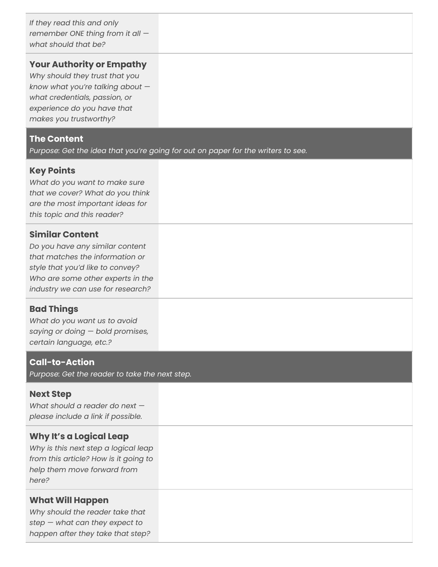*If they read this and only remember ONE thing from it all what should that be?*

#### **Your Authority or Empathy**

*Why should they trust that you know what you're talking about what credentials, passion, or experience do you have that makes you trustworthy?*

#### **The Content**

*Purpose: Get the idea that you're going for out on paper for the writers to see.*

#### **Key Points**

*What do you want to make sure that we cover? What do you think are the most important ideas for this topic and this reader?*

#### **Similar Content**

*Do you have any similar content that matches the information or style that you'd like to convey? Who are some other experts in the industry we can use for research?*

# **Bad Things**

*What do you want us to avoid saying or doing — bold promises, certain language, etc.?*

#### **Call-to-Action**

*Purpose: Get the reader to take the next step.*

#### **Next Step**

*What should a reader do next please include a link if possible.*

#### **Why It's a Logical Leap**

*Why is this next step a logical leap from this article? How is it going to help them move forward from here?*

#### **What Will Happen**

*Why should the reader take that step — what can they expect to happen after they take that step?*